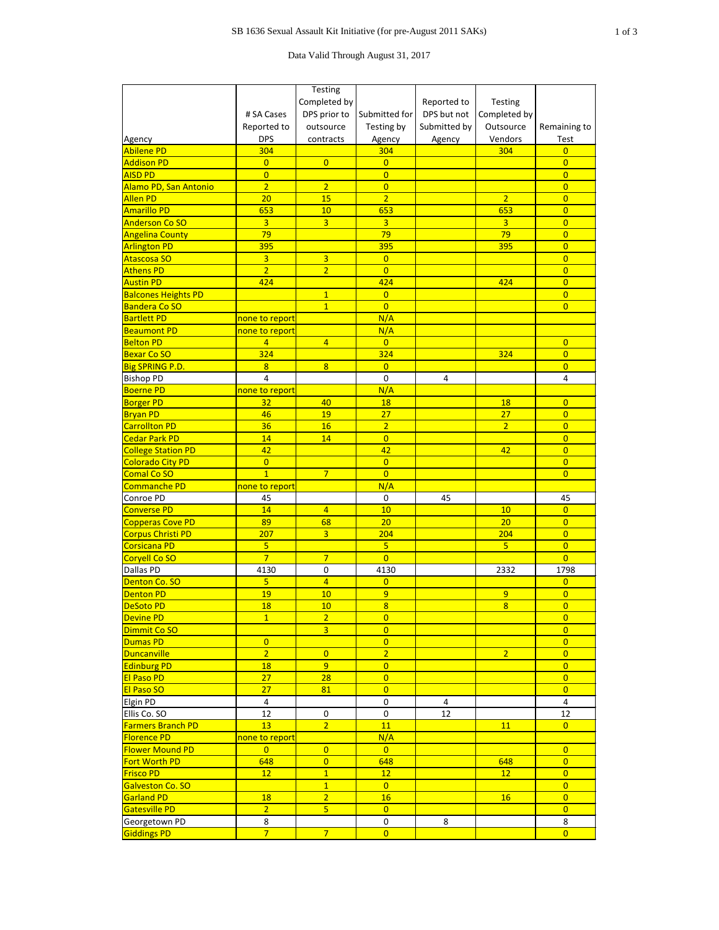Data Valid Through August 31, 2017

|                            |                     | <b>Testing</b>                   |                  |              |                |                |
|----------------------------|---------------------|----------------------------------|------------------|--------------|----------------|----------------|
|                            |                     | Completed by                     |                  | Reported to  | Testing        |                |
|                            | # SA Cases          | DPS prior to                     | Submitted for    | DPS but not  | Completed by   |                |
|                            | Reported to         | outsource                        | Testing by       | Submitted by | Outsource      | Remaining to   |
| Agency                     | <b>DPS</b>          | contracts                        | Agency           | Agency       | Vendors        | Test           |
| <b>Abilene PD</b>          | 304                 |                                  | 304              |              | 304            | $\overline{0}$ |
| <b>Addison PD</b>          | $\overline{0}$      | $\overline{0}$                   | $\overline{0}$   |              |                | $\overline{0}$ |
| <b>AISD PD</b>             | $\overline{0}$      |                                  | $\overline{0}$   |              |                | $\overline{0}$ |
| Alamo PD, San Antonio      | $\overline{2}$      | $\overline{2}$                   | $\overline{0}$   |              |                | $\overline{0}$ |
| <b>Allen PD</b>            | 20                  | 15                               | $\overline{2}$   |              | $\overline{2}$ | $\overline{0}$ |
| <b>Amarillo PD</b>         | 653                 | 10                               | 653              |              | 653            | $\overline{0}$ |
| <b>Anderson Co SO</b>      | $\overline{3}$      | $\overline{3}$                   | $\overline{3}$   |              | $\overline{3}$ | $\overline{0}$ |
| <b>Angelina County</b>     | 79                  |                                  | 79               |              | 79             | $\overline{0}$ |
| <b>Arlington PD</b>        | 395                 |                                  | 395              |              | 395            | $\overline{0}$ |
| <b>Atascosa SO</b>         | $\overline{3}$      | $\overline{3}$                   | $\overline{0}$   |              |                | $\overline{0}$ |
| <b>Athens PD</b>           | $\overline{2}$      | $\overline{2}$                   | $\overline{0}$   |              |                | $\overline{0}$ |
| <b>Austin PD</b>           | 424                 |                                  | 424              |              | 424            | $\overline{0}$ |
| <b>Balcones Heights PD</b> |                     | $\overline{1}$                   | $\overline{0}$   |              |                | $\overline{0}$ |
| <b>Bandera Co SO</b>       |                     | $\overline{1}$                   | $\overline{0}$   |              |                | $\overline{0}$ |
| <b>Bartlett PD</b>         | none to report      |                                  | N/A              |              |                |                |
| <b>Beaumont PD</b>         | none to report      |                                  | N/A              |              |                |                |
| <b>Belton PD</b>           | $\overline{4}$      | $\overline{4}$                   | $\overline{0}$   |              |                | $\overline{0}$ |
| <b>Bexar Co SO</b>         | 324                 |                                  | 324              |              | 324            | $\overline{0}$ |
| <b>Big SPRING P.D.</b>     | 8                   | $\overline{8}$                   | $\overline{0}$   |              |                | $\overline{0}$ |
| <b>Bishop PD</b>           | $\overline{4}$      |                                  | $\mathbf 0$      | 4            |                | 4              |
| <b>Boerne PD</b>           | none to report      |                                  | N/A              |              |                |                |
| <b>Borger PD</b>           | 32                  | 40                               | <b>18</b>        |              | <b>18</b>      | $\overline{0}$ |
| <b>Bryan PD</b>            | 46                  | 19                               | 27               |              | 27             | $\overline{0}$ |
| <b>Carrollton PD</b>       | 36                  | 16                               | $\overline{2}$   |              | $\overline{2}$ | $\overline{0}$ |
| Cedar Park PD              | 14                  | 14                               | $\overline{0}$   |              |                | $\overline{0}$ |
| <b>College Station PD</b>  | 42                  |                                  | 42               |              | 42             | $\overline{0}$ |
| <b>Colorado City PD</b>    | $\overline{0}$      |                                  | $\overline{0}$   |              |                | $\overline{0}$ |
| <b>Comal Co SO</b>         | $\overline{1}$      | $\overline{7}$                   | $\overline{0}$   |              |                | $\overline{0}$ |
| <b>Commanche PD</b>        | none to report      |                                  | N/A              |              |                |                |
| Conroe PD                  | 45                  |                                  | $\overline{0}$   | 45           |                | 45             |
| <b>Converse PD</b>         | 14                  | $\overline{4}$                   | 10               |              | 10             | $\overline{0}$ |
| <b>Copperas Cove PD</b>    | 89                  | 68                               | 20               |              | 20             | $\overline{0}$ |
| <b>Corpus Christi PD</b>   | 207                 | $\overline{3}$                   | 204              |              | 204            | $\overline{0}$ |
| <b>Corsicana PD</b>        | $\overline{5}$      |                                  | 5 <sup>1</sup>   |              | 5 <sup>5</sup> | $\overline{0}$ |
| <b>Coryell Co SO</b>       | $\overline{7}$      | $\overline{7}$                   | $\overline{0}$   |              |                | $\overline{0}$ |
| Dallas PD                  | 4130                | $\pmb{0}$                        | 4130             |              | 2332           | 1798           |
| Denton Co. SO              | $\overline{5}$      | $\overline{4}$                   | $\overline{0}$   |              |                | $\overline{0}$ |
| <b>Denton PD</b>           | 19                  | 10                               | 9                |              | 9              | $\overline{0}$ |
| <b>DeSoto PD</b>           | 18                  | 10                               | $\overline{8}$   |              | $\overline{8}$ | $\overline{0}$ |
| <b>Devine PD</b>           | $\overline{1}$      | $\overline{2}$                   | $\overline{0}$   |              |                | $\overline{0}$ |
| Dimmit Co SO               |                     | $\overline{3}$                   | $\overline{0}$   |              |                | $\overline{0}$ |
| <b>Dumas PD</b>            | $\overline{0}$      |                                  | $\overline{0}$   |              |                | $\overline{0}$ |
| <b>Duncanville</b>         | $\overline{2}$      | $\overline{0}$                   | $\overline{2}$   |              | $\overline{2}$ | $\overline{0}$ |
| <b>Edinburg PD</b>         | 18                  | $\overline{9}$                   | $\overline{0}$   |              |                | $\overline{0}$ |
| <b>El Paso PD</b>          | 27                  | 28                               | $\overline{0}$   |              |                | $\overline{0}$ |
| <b>El Paso SO</b>          | 27                  | 81                               | $\overline{0}$   |              |                | $\overline{0}$ |
| Elgin PD                   | $\overline{4}$      |                                  | $\mathbf 0$      | 4            |                | $\overline{4}$ |
| Ellis Co. SO               | 12                  | $\mathbf 0$                      | $\mathbf 0$      | 12           |                | 12             |
| <b>Farmers Branch PD</b>   | 13                  | $\overline{2}$                   | 11               |              | 11             | $\overline{0}$ |
| <b>Florence PD</b>         | none to report      |                                  | N/A              |              |                |                |
| <b>Flower Mound PD</b>     | $\overline{0}$      | $\overline{0}$                   | $\overline{0}$   |              |                | $\overline{0}$ |
| Fort Worth PD              | 648                 | $\overline{0}$                   | 648              |              | 648            | $\overline{0}$ |
| <b>Frisco PD</b>           | 12                  | $\overline{1}$                   | 12               |              | 12             | $\overline{0}$ |
| <b>Galveston Co. SO</b>    |                     |                                  | $\overline{0}$   |              |                | $\overline{0}$ |
|                            |                     | $\overline{1}$<br>$\overline{2}$ | 16               |              | 16             | $\overline{0}$ |
| <b>Garland PD</b>          | 18                  |                                  |                  |              |                |                |
| Gatesville PD              | $\overline{2}$      | 5 <sup>1</sup>                   | $\overline{0}$   |              |                | $\overline{0}$ |
| Georgetown PD              | 8<br>$\overline{7}$ |                                  | $\boldsymbol{0}$ | 8            |                | 8              |
| <b>Giddings PD</b>         |                     | $\overline{7}$                   | $\overline{0}$   |              |                | $\overline{0}$ |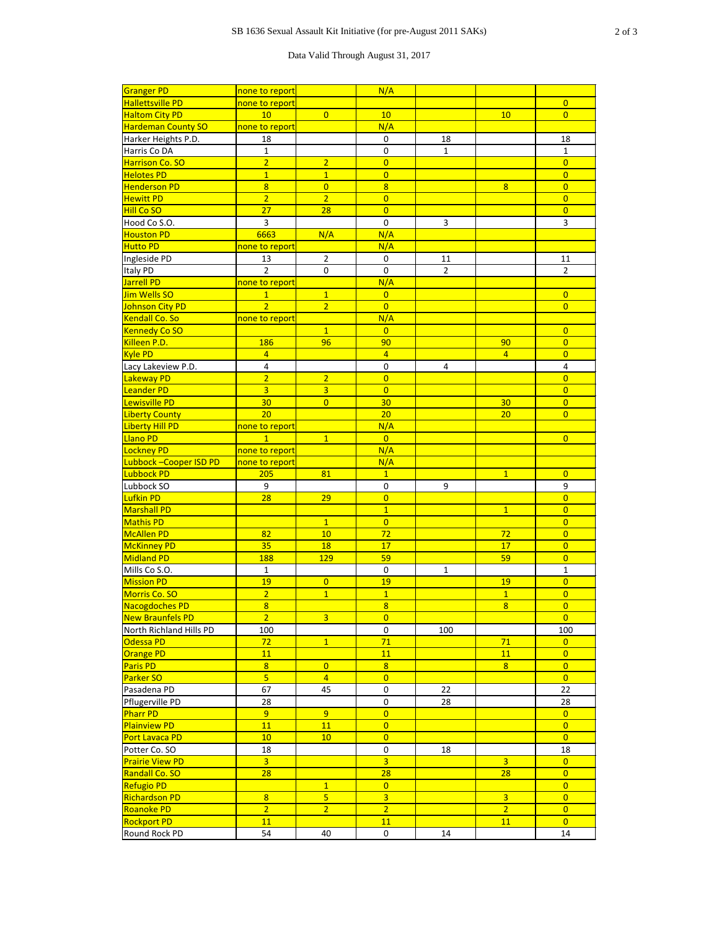## Data Valid Through August 31, 2017

| <b>Granger PD</b>         | none to report  |                  | N/A              |                |                |                |
|---------------------------|-----------------|------------------|------------------|----------------|----------------|----------------|
| <b>Hallettsville PD</b>   | none to report  |                  |                  |                |                | $\overline{0}$ |
| <b>Haltom City PD</b>     | 10              | $\overline{0}$   | 10               |                | 10             | $\overline{0}$ |
| <b>Hardeman County SO</b> | none to report  |                  | N/A              |                |                |                |
|                           |                 |                  | $\mathbf 0$      |                |                |                |
| Harker Heights P.D.       | 18              |                  |                  | 18             |                | 18             |
| Harris Co DA              | $\mathbf{1}$    |                  | $\boldsymbol{0}$ | $\mathbf{1}$   |                | $\mathbf{1}$   |
| <b>Harrison Co. SO</b>    | $\overline{2}$  | $\overline{2}$   | $\overline{0}$   |                |                | $\overline{0}$ |
| <b>Helotes PD</b>         | $\overline{1}$  | $\overline{1}$   | $\overline{0}$   |                |                | $\overline{0}$ |
| <b>Henderson PD</b>       | $\overline{8}$  | $\overline{0}$   | $\overline{8}$   |                | 8              | $\overline{0}$ |
| <b>Hewitt PD</b>          | $\overline{2}$  | $\overline{2}$   | $\overline{0}$   |                |                | $\overline{0}$ |
| <b>Hill Co SO</b>         | 27              | 28               | $\overline{0}$   |                |                | $\overline{0}$ |
| Hood Co S.O.              | $\overline{3}$  |                  | $\mathbf 0$      | $\overline{3}$ |                | $\overline{3}$ |
| <b>Houston PD</b>         | 6663            | N/A              | N/A              |                |                |                |
| <b>Hutto PD</b>           | none to report  |                  | N/A              |                |                |                |
| Ingleside PD              | 13              | $\overline{2}$   | $\mathbf 0$      | 11             |                | 11             |
| Italy PD                  | $\overline{2}$  | $\boldsymbol{0}$ | $\overline{0}$   | $\overline{2}$ |                | $\overline{2}$ |
| Jarrell PD                | none to report  |                  | N/A              |                |                |                |
| Jim Wells SO              | $\overline{1}$  | $\overline{1}$   | $\overline{0}$   |                |                | $\overline{0}$ |
| Johnson City PD           | $\overline{2}$  | $\overline{2}$   | $\overline{0}$   |                |                | $\overline{0}$ |
| Kendall Co. So            |                 |                  | N/A              |                |                |                |
|                           | none to report  |                  |                  |                |                |                |
| <b>Kennedy Co SO</b>      |                 | $\overline{1}$   | $\overline{0}$   |                |                | $\overline{0}$ |
| Killeen P.D.              | 186             | 96               | 90               |                | 90             | $\overline{0}$ |
| <b>Kyle PD</b>            | $\overline{4}$  |                  | $\overline{4}$   |                | $\overline{4}$ | $\overline{0}$ |
| Lacy Lakeview P.D.        | $\overline{4}$  |                  | $\mathbf 0$      | $\overline{4}$ |                | $\overline{4}$ |
| Lakeway PD                | $\overline{2}$  | $\overline{2}$   | $\overline{0}$   |                |                | $\overline{0}$ |
| Leander PD                | $\overline{3}$  | $\overline{3}$   | $\overline{0}$   |                |                | $\overline{0}$ |
| Lewisville PD             | 30 <sub>2</sub> | $\overline{0}$   | 30               |                | 30             | $\overline{0}$ |
| <b>Liberty County</b>     | 20              |                  | 20               |                | 20             | $\overline{0}$ |
| Liberty Hill PD           | none to report  |                  | N/A              |                |                |                |
| <b>Llano PD</b>           | $\mathbf{1}$    | $\overline{1}$   | $\overline{0}$   |                |                | $\overline{0}$ |
| Lockney PD                | none to report  |                  | N/A              |                |                |                |
| Lubbock - Cooper ISD PD   | none to report  |                  | N/A              |                |                |                |
| Lubbock PD                | 205             | 81               | $\overline{1}$   |                | $\overline{1}$ | $\overline{0}$ |
|                           |                 |                  |                  |                |                |                |
|                           |                 |                  |                  |                |                |                |
| Lubbock SO                | 9               |                  | $\mathbf 0$      | 9              |                | 9              |
| Lufkin PD                 | 28              | 29               | $\overline{0}$   |                |                | $\overline{0}$ |
| <b>Marshall PD</b>        |                 |                  | $\overline{1}$   |                | $\overline{1}$ | $\overline{0}$ |
| Mathis PD                 |                 | $\overline{1}$   | $\overline{0}$   |                |                | $\overline{0}$ |
| McAllen PD                | 82              | 10               | 72               |                | 72             | $\overline{0}$ |
| McKinney PD               | 35              | 18               | 17               |                | 17             | $\overline{0}$ |
| Midland PD                | <b>188</b>      | 129              | 59               |                | 59             | $\overline{0}$ |
| Mills Co S.O.             | $\mathbf{1}$    |                  | $\mathbf 0$      | $\mathbf{1}$   |                | $\mathbf{1}$   |
| <b>Mission PD</b>         | 19              | $\overline{0}$   | 19               |                | 19             | $\overline{0}$ |
| Morris Co. SO             | $\overline{2}$  | $\overline{1}$   | $\overline{1}$   |                | $\overline{1}$ | $\overline{0}$ |
| Nacogdoches PD            | $\overline{8}$  |                  | $\overline{8}$   |                | $\overline{8}$ | $\overline{0}$ |
| New Braunfels PD          | $\overline{2}$  | $\overline{3}$   | $\overline{0}$   |                |                | $\overline{0}$ |
| North Richland Hills PD   | 100             |                  | $\mathbf 0$      | 100            |                | 100            |
| Odessa PD                 | 72              | $\overline{1}$   | 71               |                | 71             | $\overline{0}$ |
|                           |                 |                  |                  |                |                |                |
| <b>Orange PD</b>          | 11              |                  | 11               |                | <b>11</b>      | $\overline{0}$ |
| <b>Paris PD</b>           | $\overline{8}$  | $\overline{0}$   | $\overline{8}$   |                | 8              | $\overline{0}$ |
| <b>Parker SO</b>          | $\overline{5}$  | $\overline{4}$   | $\overline{0}$   |                |                | $\overline{0}$ |
| Pasadena PD               | 67              | 45               | $\mathbf 0$      | 22             |                | 22             |
| Pflugerville PD           | 28              |                  | $\boldsymbol{0}$ | 28             |                | 28             |
| <b>Pharr PD</b>           | 9 <sup>°</sup>  | $\overline{9}$   | $\overline{0}$   |                |                | $\overline{0}$ |
| <b>Plainview PD</b>       | 11              | 11               | $\overline{0}$   |                |                | $\overline{0}$ |
| <b>Port Lavaca PD</b>     | 10              | 10               | $\overline{0}$   |                |                | $\overline{0}$ |
| Potter Co. SO             | 18              |                  | $\boldsymbol{0}$ | 18             |                | 18             |
| <b>Prairie View PD</b>    | $\overline{3}$  |                  | $\overline{3}$   |                | $\overline{3}$ | $\overline{0}$ |
| Randall Co. SO            | 28              |                  | 28               |                | 28             | $\overline{0}$ |
| <b>Refugio PD</b>         |                 | $\mathbf{1}$     | $\overline{0}$   |                |                | $\overline{0}$ |
| <b>Richardson PD</b>      | $\overline{8}$  | $\overline{5}$   | $\overline{3}$   |                | $\overline{3}$ | $\overline{0}$ |
| Roanoke PD                | $\overline{2}$  | $\overline{2}$   | $\overline{2}$   |                | $\overline{2}$ | $\overline{0}$ |
| <b>Rockport PD</b>        | 11              |                  | 11               |                | 11             | $\overline{0}$ |